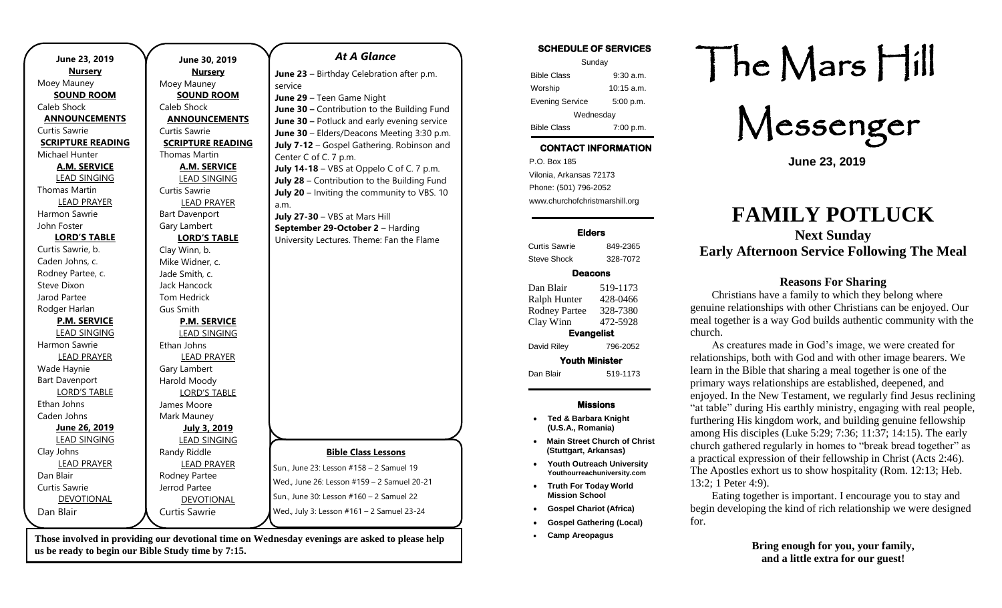| June 23, 2019            | June 30, 2019            |
|--------------------------|--------------------------|
| <b>Nursery</b>           | <b>Nursery</b>           |
| Moey Mauney              | Moey Mauney              |
| <b>SOUND ROOM</b>        | <b>SOUND ROOM</b>        |
| Caleb Shock              | Caleb Shock              |
| <b>ANNOUNCEMENTS</b>     | <b>ANNOUNCEMENTS</b>     |
| Curtis Sawrie            | Curtis Sawrie            |
| <b>SCRIPTURE READING</b> | <b>SCRIPTURE READING</b> |
| Michael Hunter           | Thomas Martin            |
| <b>A.M. SERVICE</b>      | <b>A.M. SERVICE</b>      |
| <b>LEAD SINGING</b>      | <b>LEAD SINGING</b>      |
| <b>Thomas Martin</b>     | Curtis Sawrie            |
| <b>LEAD PRAYER</b>       | <b>LEAD PRAYER</b>       |
| Harmon Sawrie            | <b>Bart Davenport</b>    |
| John Foster              | Gary Lambert             |
| <b>LORD'S TABLE</b>      | <b>LORD'S TABLE</b>      |
| Curtis Sawrie, b.        | Clay Winn, b.            |
| Caden Johns, c.          | Mike Widner, c.          |
| Rodney Partee, c.        | Jade Smith, c.           |
| Steve Dixon              | Jack Hancock             |
| Jarod Partee             | <b>Tom Hedrick</b>       |
| Rodger Harlan            | <b>Gus Smith</b>         |
| <b>P.M. SERVICE</b>      | <b>P.M. SERVICE</b>      |
| <b>LEAD SINGING</b>      | <b>LEAD SINGING</b>      |
| Harmon Sawrie            | Ethan Johns              |
| <b>LEAD PRAYER</b>       | <b>LEAD PRAYER</b>       |
| Wade Haynie              | Gary Lambert             |
| <b>Bart Davenport</b>    | Harold Moody             |
| <b>LORD'S TABLE</b>      | <b>LORD'S TABLE</b>      |
| Ethan Johns              | James Moore              |
| Caden Johns              | Mark Mauney              |
| June 26, 2019            | <b>July 3, 2019</b>      |
| <b>LEAD SINGING</b>      | <b>LEAD SINGING</b>      |
| Clay Johns               | Randy Riddle             |
| <b>LEAD PRAYER</b>       | <b>LEAD PRAYER</b>       |
| Dan Blair                | Rodney Partee            |
| Curtis Sawrie            | Jerrod Partee            |
| DEVOTIONAL               | <b>DEVOTIONAL</b>        |
| Dan Blair                | <b>Curtis Sawrie</b>     |
|                          |                          |

**Those involved in providing our devotional time on Wednesday evenings are asked to please help us be ready to begin our Bible Study time by 7:15.** 

**Bible Class Lessons**

*At A Glance* 

**June 23** – Birthday Celebration after p.m.

**June 30 –** Contribution to the Building Fund **June 30 –** Potluck and early evening service **June 30** – Elders/Deacons Meeting 3:30 p.m. **July 7-12** – Gospel Gathering. Robinson and

**July 14-18** – VBS at Oppelo C of C. 7 p.m. **July 28** – Contribution to the Building Fund **July 20** – Inviting the community to VBS. 10

**June 29** – Teen Game Night

**July 27-30** – VBS at Mars Hill **September 29-October 2** – Harding University Lectures. Theme: Fan the Flame

Center C of C. 7 p.m.

service

a.m.

Sun., June 23: Lesson #158 – 2 Samuel 19 Wed., June 26: Lesson #159 – 2 Samuel 20-21 Sun., June 30: Lesson #160 – 2 Samuel 22 Wed., July 3: Lesson #161 – 2 Samuel 23-24

**SCHEDULE OF SERVICES**  Sunday Bible Class 9:30 a.m. Worship 10:15 a.m. Evening Service 5:00 p.m. Wednesday Bible Class 7:00 p.m.

# **CONTACT INFORMATION**

. .o. Box 166<br>Vilonia, Arkansas 72173 P.O. Box 185 Phone: (501) 796-2052 www.churchofchristmarshill.org

### **Elders**

Curtis Sawrie 849-2365 Steve Shock 328-7072

#### **Deacons**

| Dan Blair             | 519-1173 |  |
|-----------------------|----------|--|
| Ralph Hunter          | 428-0466 |  |
| <b>Rodney Partee</b>  | 328-7380 |  |
| Clay Winn             | 472-5928 |  |
| <b>Evangelist</b>     |          |  |
| David Riley           | 796-2052 |  |
| <b>Youth Minister</b> |          |  |
| Dan Blair             | 519-1173 |  |

## **Missions**

- **Ted & Barbara Knight (U.S.A., Romania)**
- **Main Street Church of Christ (Stuttgart, Arkansas)**
- **Youth Outreach University Youthourreachuniversity.com**
- **Truth For Today World Mission School**
- **Gospel Chariot (Africa)**
- **Gospel Gathering (Local)**
- **Camp Areopagus**

# The Mars Hill

Messenger

**June 23, 2019**

# **FAMILY POTLUCK**

**Next Sunday Early Afternoon Service Following The Meal**

## **Reasons For Sharing**

Christians have a family to which they belong where genuine relationships with other Christians can be enjoyed. Our meal together is a way God builds authentic community with the church.

As creatures made in God's image, we were created for relationships, both with God and with other image bearers. We learn in the Bible that sharing a meal together is one of the primary ways relationships are established, deepened, and enjoyed. In the New Testament, we regularly find Jesus reclining "at table" during His earthly ministry, engaging with real people, furthering His kingdom work, and building genuine fellowship among His disciples [\(Luke](https://www.esv.org/Luke+5.29) 5:29; 7:36; 11:37; 14:15). The early church gathered regularly in homes to "break bread together" as a practical expression of their fellowship in Christ [\(Acts](https://www.esv.org/Acts+2.46) 2:46). The Apostles exhort us to show hospitality (Rom. [12:13;](https://www.esv.org/Rom.+12.13) [Heb.](https://www.esv.org/Heb.+13.2) [13:2;](https://www.esv.org/Heb.+13.2) 1 [Peter](https://www.esv.org/1+Peter%204.9) 4:9).

Eating together is important. I encourage you to stay and begin developing the kind of rich relationship we were designed for.

> **Bring enough for you, your family, and a little extra for our guest!**